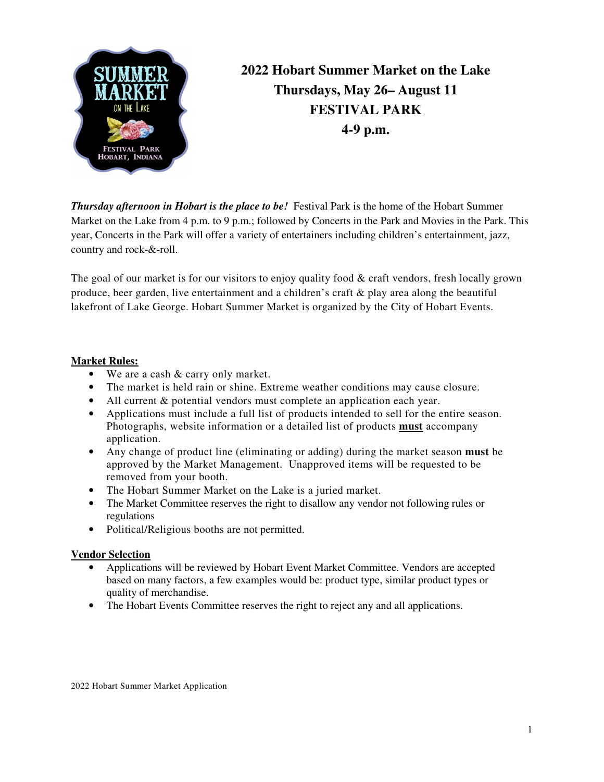

**2022 Hobart Summer Market on the Lake Thursdays, May 26– August 11 FESTIVAL PARK 4-9 p.m.** 

*Thursday afternoon in Hobart is the place to be!* Festival Park is the home of the Hobart Summer Market on the Lake from 4 p.m. to 9 p.m.; followed by Concerts in the Park and Movies in the Park. This year, Concerts in the Park will offer a variety of entertainers including children's entertainment, jazz, country and rock-&-roll.

The goal of our market is for our visitors to enjoy quality food  $\&$  craft vendors, fresh locally grown produce, beer garden, live entertainment and a children's craft & play area along the beautiful lakefront of Lake George. Hobart Summer Market is organized by the City of Hobart Events.

### **Market Rules:**

- We are a cash & carry only market.
- The market is held rain or shine. Extreme weather conditions may cause closure.
- All current & potential vendors must complete an application each year.
- Applications must include a full list of products intended to sell for the entire season. Photographs, website information or a detailed list of products **must** accompany application.
- Any change of product line (eliminating or adding) during the market season **must** be approved by the Market Management. Unapproved items will be requested to be removed from your booth.
- The Hobart Summer Market on the Lake is a juried market.
- The Market Committee reserves the right to disallow any vendor not following rules or regulations
- Political/Religious booths are not permitted.

#### **Vendor Selection**

- Applications will be reviewed by Hobart Event Market Committee. Vendors are accepted based on many factors, a few examples would be: product type, similar product types or quality of merchandise.
- The Hobart Events Committee reserves the right to reject any and all applications.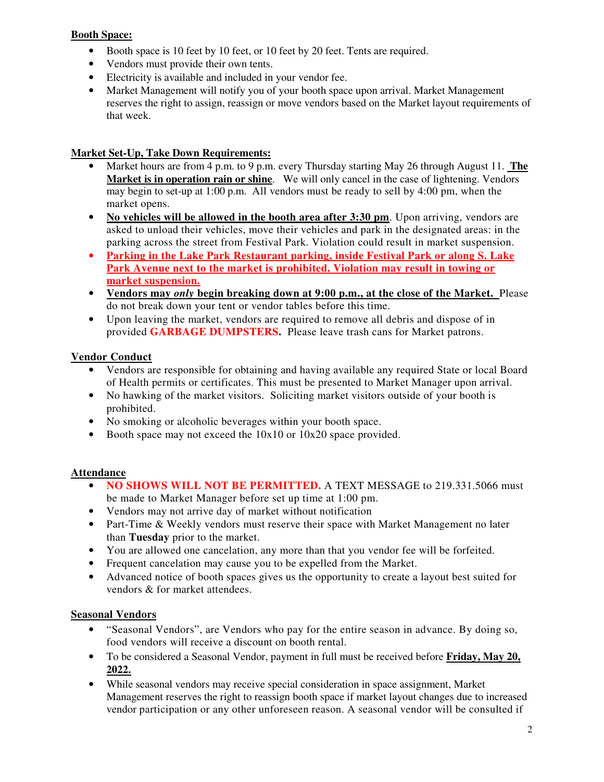#### **Booth Space:**

- Booth space is 10 feet by 10 feet, or 10 feet by 20 feet. Tents are required.
- Vendors must provide their own tents.
- Electricity is available and included in your vendor fee.
- Market Management will notify you of your booth space upon arrival. Market Management reserves the right to assign, reassign or move vendors based on the Market layout requirements of that week.

### **Market Set-Up, Take Down Requirements:**

- Market hours are from 4 p.m. to 9 p.m. every Thursday starting May 26 through August 11. **The Market is in operation rain or shine**. We will only cancel in the case of lightening. Vendors may begin to set-up at 1:00 p.m. All vendors must be ready to sell by 4:00 pm, when the market opens.
- **No vehicles will be allowed in the booth area after 3:30 pm**. Upon arriving, vendors are asked to unload their vehicles, move their vehicles and park in the designated areas: in the parking across the street from Festival Park. Violation could result in market suspension.
- **Parking in the Lake Park Restaurant parking, inside Festival Park or along S. Lake Park Avenue next to the market is prohibited. Violation may result in towing or market suspension.**
- **Vendors may** *only* **begin breaking down at 9:00 p.m., at the close of the Market.** Please do not break down your tent or vendor tables before this time.
- Upon leaving the market, vendors are required to remove all debris and dispose of in provided **GARBAGE DUMPSTERS.** Please leave trash cans for Market patrons.

### **Vendor Conduct**

- Vendors are responsible for obtaining and having available any required State or local Board of Health permits or certificates. This must be presented to Market Manager upon arrival.
- No hawking of the market visitors. Soliciting market visitors outside of your booth is prohibited.
- No smoking or alcoholic beverages within your booth space.
- Booth space may not exceed the  $10x10$  or  $10x20$  space provided.

# **Attendance**

- **NO SHOWS WILL NOT BE PERMITTED.** A TEXT MESSAGE to 219.331.5066 must be made to Market Manager before set up time at 1:00 pm.
- Vendors may not arrive day of market without notification
- Part-Time & Weekly vendors must reserve their space with Market Management no later than **Tuesday** prior to the market.
- You are allowed one cancelation, any more than that you vendor fee will be forfeited.
- Frequent cancelation may cause you to be expelled from the Market.
- Advanced notice of booth spaces gives us the opportunity to create a layout best suited for vendors & for market attendees.

# **Seasonal Vendors**

- "Seasonal Vendors", are Vendors who pay for the entire season in advance. By doing so, food vendors will receive a discount on booth rental.
- To be considered a Seasonal Vendor, payment in full must be received before **Friday, May 20, 2022.**
- While seasonal vendors may receive special consideration in space assignment, Market Management reserves the right to reassign booth space if market layout changes due to increased vendor participation or any other unforeseen reason. A seasonal vendor will be consulted if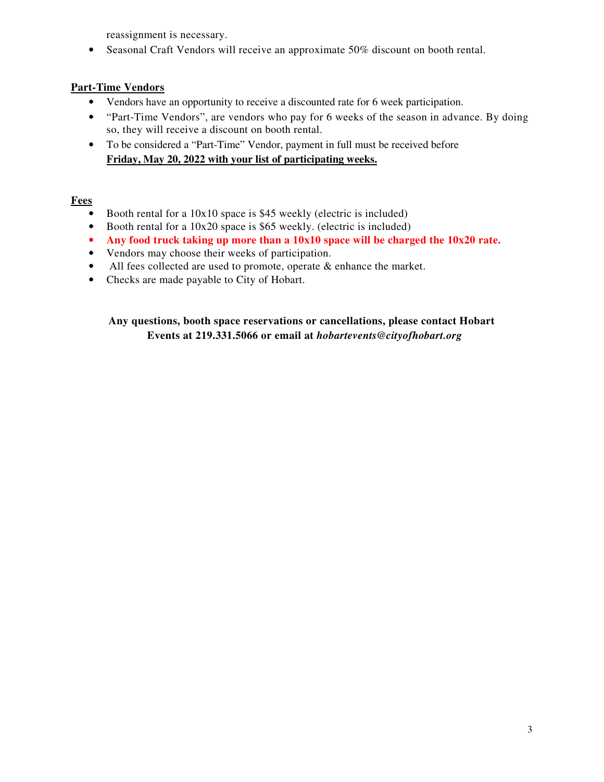reassignment is necessary.

• Seasonal Craft Vendors will receive an approximate 50% discount on booth rental.

# **Part-Time Vendors**

- Vendors have an opportunity to receive a discounted rate for 6 week participation.
- "Part-Time Vendors", are vendors who pay for 6 weeks of the season in advance. By doing so, they will receive a discount on booth rental.
- To be considered a "Part-Time" Vendor, payment in full must be received before **Friday, May 20, 2022 with your list of participating weeks.**

### **Fees**

- Booth rental for a 10x10 space is \$45 weekly (electric is included)
- Booth rental for a 10x20 space is \$65 weekly. (electric is included)
- **Any food truck taking up more than a 10x10 space will be charged the 10x20 rate.**
- Vendors may choose their weeks of participation.
- All fees collected are used to promote, operate  $\&$  enhance the market.
- Checks are made payable to City of Hobart.

### **Any questions, booth space reservations or cancellations, please contact Hobart Events at 219.331.5066 or email at** *hobartevents@cityofhobart.org*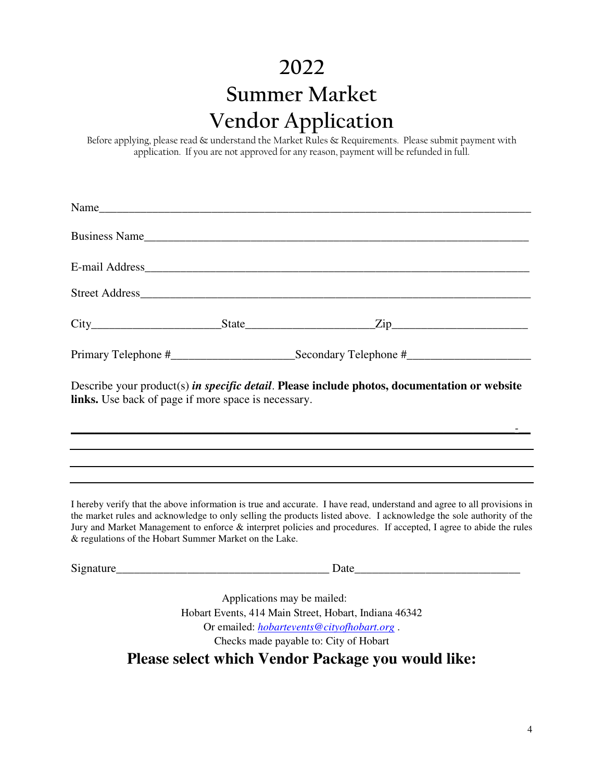# **2022 Summer Market Vendor Application**

Before applying, please read & understand the Market Rules & Requirements. Please submit payment with application. If you are not approved for any reason, payment will be refunded in full.

|                                                            | Name                                                                                         |  |
|------------------------------------------------------------|----------------------------------------------------------------------------------------------|--|
|                                                            | Business Name                                                                                |  |
|                                                            |                                                                                              |  |
|                                                            |                                                                                              |  |
|                                                            |                                                                                              |  |
|                                                            |                                                                                              |  |
| <b>links.</b> Use back of page if more space is necessary. | Describe your product(s) in specific detail. Please include photos, documentation or website |  |

I hereby verify that the above information is true and accurate. I have read, understand and agree to all provisions in the market rules and acknowledge to only selling the products listed above. I acknowledge the sole authority of the Jury and Market Management to enforce & interpret policies and procedures. If accepted, I agree to abide the rules & regulations of the Hobart Summer Market on the Lake.

*\_\_\_\_\_\_\_\_\_\_\_\_\_\_\_\_\_\_\_\_\_\_\_\_\_\_\_\_\_\_\_\_\_\_\_\_\_\_\_\_\_\_\_\_\_\_\_\_\_\_\_\_\_\_\_\_\_\_\_\_\_\_\_\_\_\_\_\_\_\_\_\_\_\_\_-\_\_* 

Signature\_\_\_\_\_\_\_\_\_\_\_\_\_\_\_\_\_\_\_\_\_\_\_\_\_\_\_\_\_\_\_\_\_\_\_\_ Date\_\_\_\_\_\_\_\_\_\_\_\_\_\_\_\_\_\_\_\_\_\_\_\_\_\_\_\_

Applications may be mailed: Hobart Events, 414 Main Street, Hobart, Indiana 46342 Or emailed: *hobartevents@cityofhobart.org* . Checks made payable to: City of Hobart

**Please select which Vendor Package you would like:**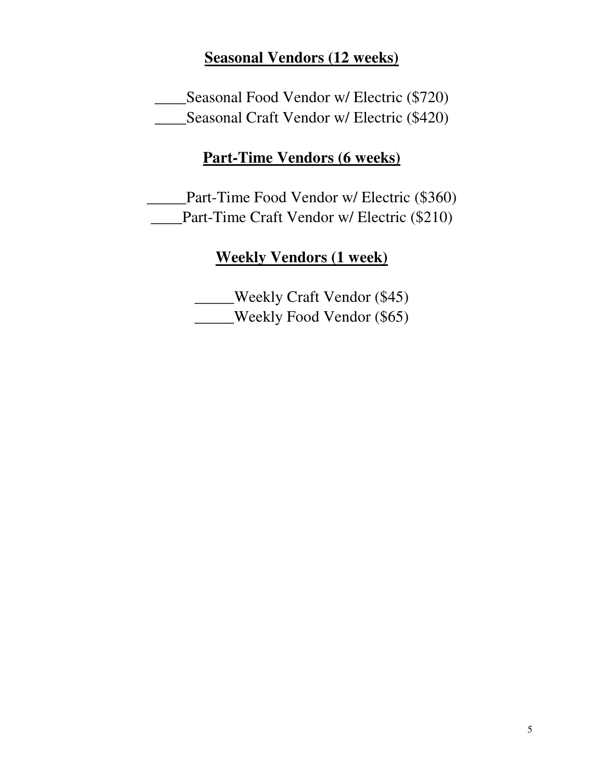# **Seasonal Vendors (12 weeks)**

\_\_\_\_Seasonal Food Vendor w/ Electric (\$720) \_\_\_\_Seasonal Craft Vendor w/ Electric (\$420)

# **Part-Time Vendors (6 weeks)**

\_\_\_\_\_Part-Time Food Vendor w/ Electric (\$360) **Part-Time Craft Vendor w/ Electric (\$210)** 

# **Weekly Vendors (1 week)**

\_\_\_\_\_Weekly Craft Vendor (\$45) \_\_\_\_\_Weekly Food Vendor (\$65)